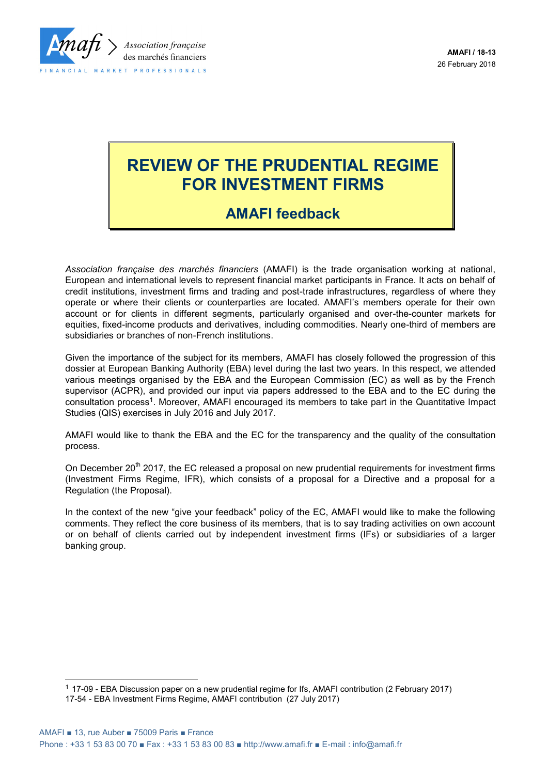

# **REVIEW OF THE PRUDENTIAL REGIME FOR INVESTMENT FIRMS**

## **AMAFI feedback**

*Association française des marchés financiers* (AMAFI) is the trade organisation working at national, European and international levels to represent financial market participants in France. It acts on behalf of credit institutions, investment firms and trading and post-trade infrastructures, regardless of where they operate or where their clients or counterparties are located. AMAFI's members operate for their own account or for clients in different segments, particularly organised and over-the-counter markets for equities, fixed-income products and derivatives, including commodities. Nearly one-third of members are subsidiaries or branches of non-French institutions.

Given the importance of the subject for its members, AMAFI has closely followed the progression of this dossier at European Banking Authority (EBA) level during the last two years. In this respect, we attended various meetings organised by the EBA and the European Commission (EC) as well as by the French supervisor (ACPR), and provided our input via papers addressed to the EBA and to the EC during the consultation process<sup>1</sup> . Moreover, AMAFI encouraged its members to take part in the Quantitative Impact Studies (QIS) exercises in July 2016 and July 2017.

AMAFI would like to thank the EBA and the EC for the transparency and the quality of the consultation process.

On December 20<sup>th</sup> 2017, the EC released a proposal on new prudential requirements for investment firms (Investment Firms Regime, IFR), which consists of a proposal for a Directive and a proposal for a Regulation (the Proposal).

In the context of the new "give your feedback" policy of the EC, AMAFI would like to make the following comments. They reflect the core business of its members, that is to say trading activities on own account or on behalf of clients carried out by independent investment firms (IFs) or subsidiaries of a larger banking group.

l

<sup>1</sup> 17-09 - EBA Discussion paper on a new prudential regime for Ifs, AMAFI contribution (2 February 2017) 17-54 - EBA Investment Firms Regime, AMAFI contribution (27 July 2017)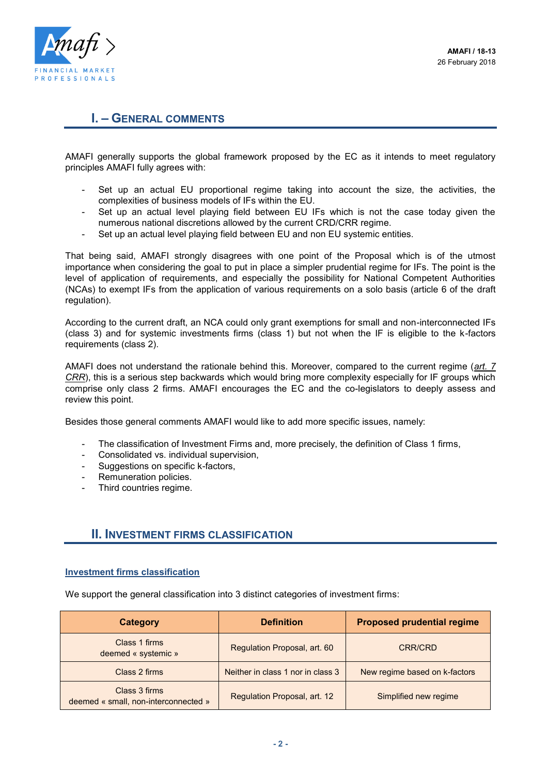

## **I. – GENERAL COMMENTS**

AMAFI generally supports the global framework proposed by the EC as it intends to meet regulatory principles AMAFI fully agrees with:

- Set up an actual EU proportional regime taking into account the size, the activities, the complexities of business models of IFs within the EU.
- Set up an actual level playing field between EU IFs which is not the case today given the numerous national discretions allowed by the current CRD/CRR regime.
- Set up an actual level playing field between EU and non EU systemic entities.

That being said, AMAFI strongly disagrees with one point of the Proposal which is of the utmost importance when considering the goal to put in place a simpler prudential regime for IFs. The point is the level of application of requirements, and especially the possibility for National Competent Authorities (NCAs) to exempt IFs from the application of various requirements on a solo basis (article 6 of the draft regulation).

According to the current draft, an NCA could only grant exemptions for small and non-interconnected IFs (class 3) and for systemic investments firms (class 1) but not when the IF is eligible to the k-factors requirements (class 2).

AMAFI does not understand the rationale behind this. Moreover, compared to the current regime (*art. 7 CRR*), this is a serious step backwards which would bring more complexity especially for IF groups which comprise only class 2 firms. AMAFI encourages the EC and the co-legislators to deeply assess and review this point.

Besides those general comments AMAFI would like to add more specific issues, namely:

- The classification of Investment Firms and, more precisely, the definition of Class 1 firms,
- Consolidated vs. individual supervision,
- Suggestions on specific k-factors,
- Remuneration policies.
- Third countries regime.

#### **II. INVESTMENT FIRMS CLASSIFICATION**

#### **Investment firms classification**

We support the general classification into 3 distinct categories of investment firms:

| Category                                              | <b>Definition</b>                 | <b>Proposed prudential regime</b> |
|-------------------------------------------------------|-----------------------------------|-----------------------------------|
| Class 1 firms<br>deemed « systemic »                  | Regulation Proposal, art. 60      | <b>CRR/CRD</b>                    |
| Class 2 firms                                         | Neither in class 1 nor in class 3 | New regime based on k-factors     |
| Class 3 firms<br>deemed « small, non-interconnected » | Regulation Proposal, art. 12      | Simplified new regime             |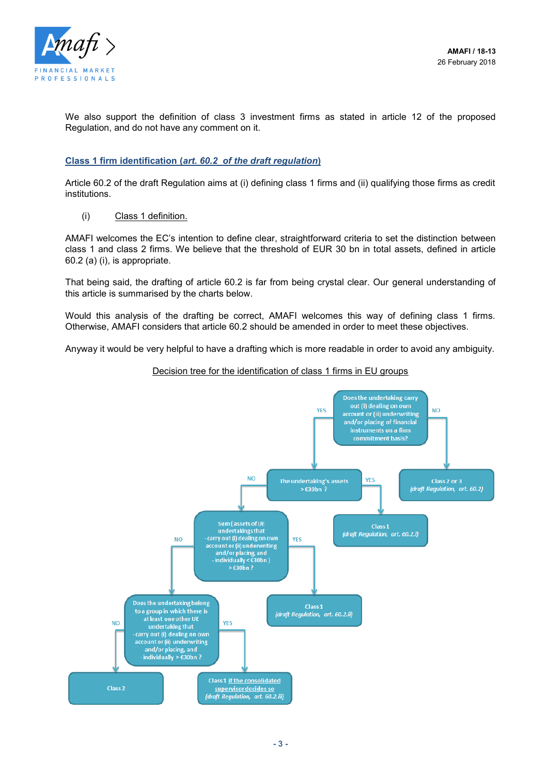

We also support the definition of class 3 investment firms as stated in article 12 of the proposed Regulation, and do not have any comment on it.

#### **Class 1 firm identification (***art. 60.2 of the draft regulation***)**

Article 60.2 of the draft Regulation aims at (i) defining class 1 firms and (ii) qualifying those firms as credit institutions.

(i) Class 1 definition.

AMAFI welcomes the EC's intention to define clear, straightforward criteria to set the distinction between class 1 and class 2 firms. We believe that the threshold of EUR 30 bn in total assets, defined in article 60.2 (a) (i), is appropriate.

That being said, the drafting of article 60.2 is far from being crystal clear. Our general understanding of this article is summarised by the charts below.

Would this analysis of the drafting be correct, AMAFI welcomes this way of defining class 1 firms. Otherwise, AMAFI considers that article 60.2 should be amended in order to meet these objectives.

Anyway it would be very helpful to have a drafting which is more readable in order to avoid any ambiguity.

#### Decision tree for the identification of class 1 firms in EU groups

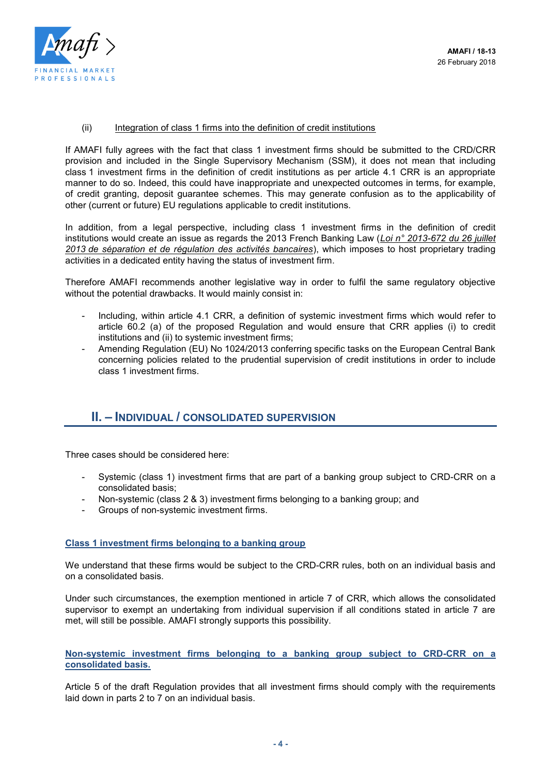

(ii) Integration of class 1 firms into the definition of credit institutions

If AMAFI fully agrees with the fact that class 1 investment firms should be submitted to the CRD/CRR provision and included in the Single Supervisory Mechanism (SSM), it does not mean that including class 1 investment firms in the definition of credit institutions as per article 4.1 CRR is an appropriate manner to do so. Indeed, this could have inappropriate and unexpected outcomes in terms, for example, of credit granting, deposit guarantee schemes. This may generate confusion as to the applicability of other (current or future) EU regulations applicable to credit institutions.

In addition, from a legal perspective, including class 1 investment firms in the definition of credit institutions would create an issue as regards the 2013 French Banking Law (*Loi n° 2013-672 du 26 juillet 2013 de séparation et de régulation des activités bancaires*), which imposes to host proprietary trading activities in a dedicated entity having the status of investment firm.

Therefore AMAFI recommends another legislative way in order to fulfil the same regulatory objective without the potential drawbacks. It would mainly consist in:

- Including, within article 4.1 CRR, a definition of systemic investment firms which would refer to article 60.2 (a) of the proposed Regulation and would ensure that CRR applies (i) to credit institutions and (ii) to systemic investment firms;
- Amending Regulation (EU) No 1024/2013 conferring specific tasks on the European Central Bank concerning policies related to the prudential supervision of credit institutions in order to include class 1 investment firms.

## **II. – INDIVIDUAL / CONSOLIDATED SUPERVISION**

Three cases should be considered here:

- Systemic (class 1) investment firms that are part of a banking group subject to CRD-CRR on a consolidated basis;
- Non-systemic (class 2 & 3) investment firms belonging to a banking group; and
- Groups of non-systemic investment firms.

#### **Class 1 investment firms belonging to a banking group**

We understand that these firms would be subject to the CRD-CRR rules, both on an individual basis and on a consolidated basis.

Under such circumstances, the exemption mentioned in article 7 of CRR, which allows the consolidated supervisor to exempt an undertaking from individual supervision if all conditions stated in article 7 are met, will still be possible. AMAFI strongly supports this possibility.

**Non-systemic investment firms belonging to a banking group subject to CRD-CRR on a consolidated basis.** 

Article 5 of the draft Regulation provides that all investment firms should comply with the requirements laid down in parts 2 to 7 on an individual basis.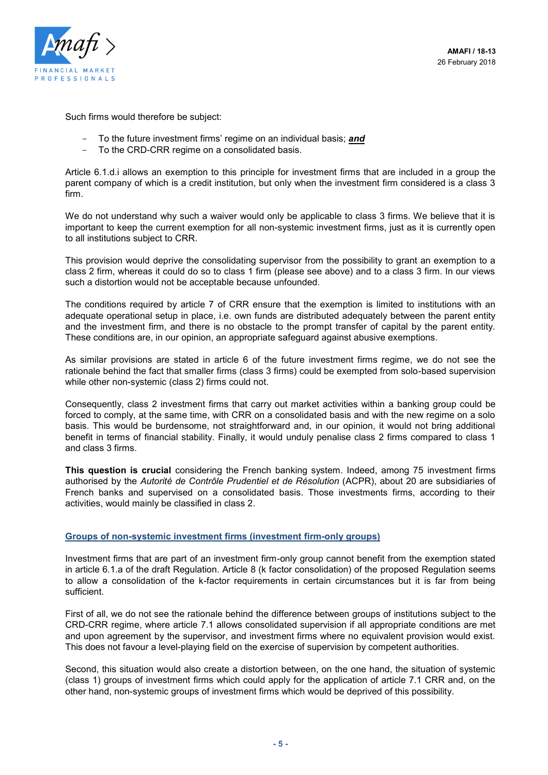

Such firms would therefore be subject:

- To the future investment firms' regime on an individual basis; *and*
- To the CRD-CRR regime on a consolidated basis.

Article 6.1.d.i allows an exemption to this principle for investment firms that are included in a group the parent company of which is a credit institution, but only when the investment firm considered is a class 3 firm.

We do not understand why such a waiver would only be applicable to class 3 firms. We believe that it is important to keep the current exemption for all non-systemic investment firms, just as it is currently open to all institutions subject to CRR.

This provision would deprive the consolidating supervisor from the possibility to grant an exemption to a class 2 firm, whereas it could do so to class 1 firm (please see above) and to a class 3 firm. In our views such a distortion would not be acceptable because unfounded.

The conditions required by article 7 of CRR ensure that the exemption is limited to institutions with an adequate operational setup in place, i.e. own funds are distributed adequately between the parent entity and the investment firm, and there is no obstacle to the prompt transfer of capital by the parent entity. These conditions are, in our opinion, an appropriate safeguard against abusive exemptions.

As similar provisions are stated in article 6 of the future investment firms regime, we do not see the rationale behind the fact that smaller firms (class 3 firms) could be exempted from solo-based supervision while other non-systemic (class 2) firms could not.

Consequently, class 2 investment firms that carry out market activities within a banking group could be forced to comply, at the same time, with CRR on a consolidated basis and with the new regime on a solo basis. This would be burdensome, not straightforward and, in our opinion, it would not bring additional benefit in terms of financial stability. Finally, it would unduly penalise class 2 firms compared to class 1 and class 3 firms.

**This question is crucial** considering the French banking system. Indeed, among 75 investment firms authorised by the *Autorité de Contrôle Prudentiel et de Résolution* (ACPR), about 20 are subsidiaries of French banks and supervised on a consolidated basis. Those investments firms, according to their activities, would mainly be classified in class 2.

#### **Groups of non-systemic investment firms (investment firm-only groups)**

Investment firms that are part of an investment firm-only group cannot benefit from the exemption stated in article 6.1.a of the draft Regulation. Article 8 (k factor consolidation) of the proposed Regulation seems to allow a consolidation of the k-factor requirements in certain circumstances but it is far from being sufficient.

First of all, we do not see the rationale behind the difference between groups of institutions subject to the CRD-CRR regime, where article 7.1 allows consolidated supervision if all appropriate conditions are met and upon agreement by the supervisor, and investment firms where no equivalent provision would exist. This does not favour a level-playing field on the exercise of supervision by competent authorities.

Second, this situation would also create a distortion between, on the one hand, the situation of systemic (class 1) groups of investment firms which could apply for the application of article 7.1 CRR and, on the other hand, non-systemic groups of investment firms which would be deprived of this possibility.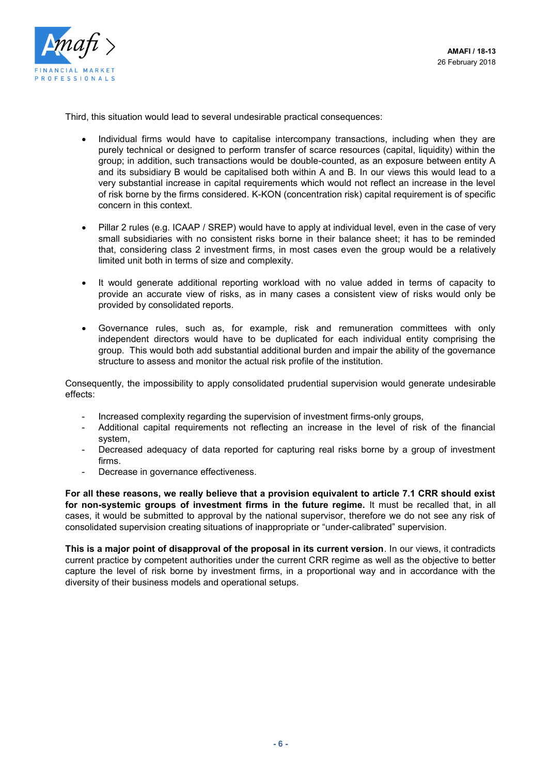

Third, this situation would lead to several undesirable practical consequences:

- Individual firms would have to capitalise intercompany transactions, including when they are purely technical or designed to perform transfer of scarce resources (capital, liquidity) within the group; in addition, such transactions would be double-counted, as an exposure between entity A and its subsidiary B would be capitalised both within A and B. In our views this would lead to a very substantial increase in capital requirements which would not reflect an increase in the level of risk borne by the firms considered. K-KON (concentration risk) capital requirement is of specific concern in this context.
- Pillar 2 rules (e.g. ICAAP / SREP) would have to apply at individual level, even in the case of very small subsidiaries with no consistent risks borne in their balance sheet; it has to be reminded that, considering class 2 investment firms, in most cases even the group would be a relatively limited unit both in terms of size and complexity.
- It would generate additional reporting workload with no value added in terms of capacity to provide an accurate view of risks, as in many cases a consistent view of risks would only be provided by consolidated reports.
- Governance rules, such as, for example, risk and remuneration committees with only independent directors would have to be duplicated for each individual entity comprising the group. This would both add substantial additional burden and impair the ability of the governance structure to assess and monitor the actual risk profile of the institution.

Consequently, the impossibility to apply consolidated prudential supervision would generate undesirable effects:

- Increased complexity regarding the supervision of investment firms-only groups,
- Additional capital requirements not reflecting an increase in the level of risk of the financial system,
- Decreased adequacy of data reported for capturing real risks borne by a group of investment firms.
- Decrease in governance effectiveness.

**For all these reasons, we really believe that a provision equivalent to article 7.1 CRR should exist for non-systemic groups of investment firms in the future regime.** It must be recalled that, in all cases, it would be submitted to approval by the national supervisor, therefore we do not see any risk of consolidated supervision creating situations of inappropriate or "under-calibrated" supervision.

**This is a major point of disapproval of the proposal in its current version**. In our views, it contradicts current practice by competent authorities under the current CRR regime as well as the objective to better capture the level of risk borne by investment firms, in a proportional way and in accordance with the diversity of their business models and operational setups.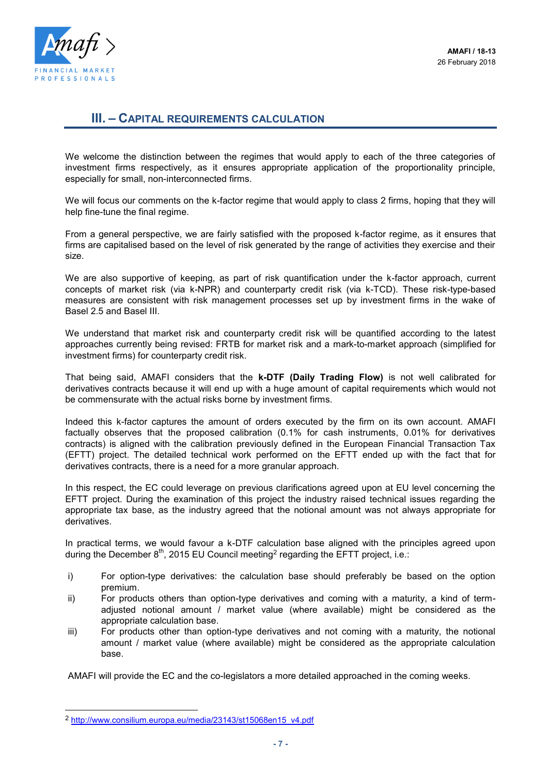

## **III. – CAPITAL REQUIREMENTS CALCULATION**

We welcome the distinction between the regimes that would apply to each of the three categories of investment firms respectively, as it ensures appropriate application of the proportionality principle, especially for small, non-interconnected firms.

We will focus our comments on the k-factor regime that would apply to class 2 firms, hoping that they will help fine-tune the final regime.

From a general perspective, we are fairly satisfied with the proposed k-factor regime, as it ensures that firms are capitalised based on the level of risk generated by the range of activities they exercise and their size.

We are also supportive of keeping, as part of risk quantification under the k-factor approach, current concepts of market risk (via k-NPR) and counterparty credit risk (via k-TCD). These risk-type-based measures are consistent with risk management processes set up by investment firms in the wake of Basel 2.5 and Basel III.

We understand that market risk and counterparty credit risk will be quantified according to the latest approaches currently being revised: FRTB for market risk and a mark-to-market approach (simplified for investment firms) for counterparty credit risk.

That being said, AMAFI considers that the **k-DTF (Daily Trading Flow)** is not well calibrated for derivatives contracts because it will end up with a huge amount of capital requirements which would not be commensurate with the actual risks borne by investment firms.

Indeed this k-factor captures the amount of orders executed by the firm on its own account. AMAFI factually observes that the proposed calibration (0.1% for cash instruments, 0.01% for derivatives contracts) is aligned with the calibration previously defined in the European Financial Transaction Tax (EFTT) project. The detailed technical work performed on the EFTT ended up with the fact that for derivatives contracts, there is a need for a more granular approach.

In this respect, the EC could leverage on previous clarifications agreed upon at EU level concerning the EFTT project. During the examination of this project the industry raised technical issues regarding the appropriate tax base, as the industry agreed that the notional amount was not always appropriate for derivatives.

In practical terms, we would favour a k-DTF calculation base aligned with the principles agreed upon during the December  $8^{\text{th}}$ , 2015 EU Council meeting<sup>2</sup> regarding the EFTT project, i.e.:

- i) For option-type derivatives: the calculation base should preferably be based on the option premium.
- ii) For products others than option-type derivatives and coming with a maturity, a kind of termadjusted notional amount / market value (where available) might be considered as the appropriate calculation base.
- iii) For products other than option-type derivatives and not coming with a maturity, the notional amount / market value (where available) might be considered as the appropriate calculation base.

AMAFI will provide the EC and the co-legislators a more detailed approached in the coming weeks.

l

<sup>2</sup> [http://www.consilium.europa.eu/media/23143/st15068en15\\_v4.pdf](http://www.consilium.europa.eu/media/23143/st15068en15_v4.pdf)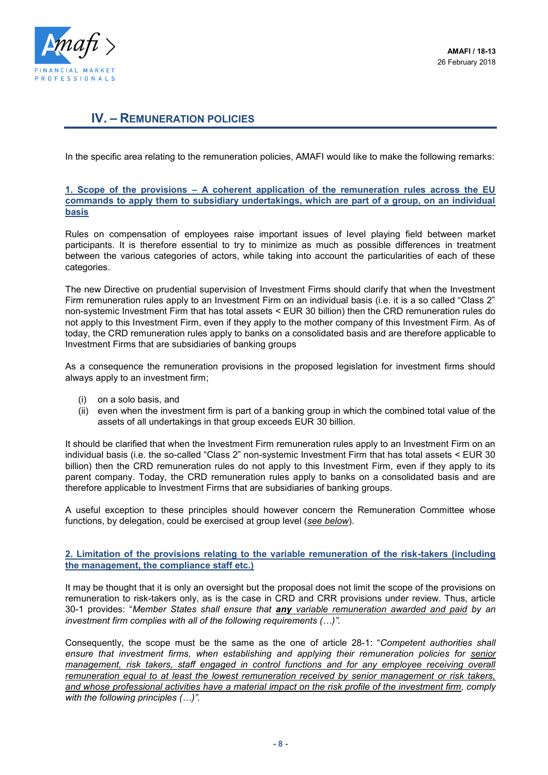

## **IV. – REMUNERATION POLICIES**

In the specific area relating to the remuneration policies, AMAFI would like to make the following remarks:

#### **1. Scope of the provisions – A coherent application of the remuneration rules across the EU commands to apply them to subsidiary undertakings, which are part of a group, on an individual basis**

Rules on compensation of employees raise important issues of level playing field between market participants. It is therefore essential to try to minimize as much as possible differences in treatment between the various categories of actors, while taking into account the particularities of each of these categories.

The new Directive on prudential supervision of Investment Firms should clarify that when the Investment Firm remuneration rules apply to an Investment Firm on an individual basis (i.e. it is a so called "Class 2" non-systemic Investment Firm that has total assets < EUR 30 billion) then the CRD remuneration rules do not apply to this Investment Firm, even if they apply to the mother company of this Investment Firm. As of today, the CRD remuneration rules apply to banks on a consolidated basis and are therefore applicable to Investment Firms that are subsidiaries of banking groups

As a consequence the remuneration provisions in the proposed legislation for investment firms should always apply to an investment firm;

- (i) on a solo basis, and
- (ii) even when the investment firm is part of a banking group in which the combined total value of the assets of all undertakings in that group exceeds EUR 30 billion.

It should be clarified that when the Investment Firm remuneration rules apply to an Investment Firm on an individual basis (i.e. the so-called "Class 2" non-systemic Investment Firm that has total assets < EUR 30 billion) then the CRD remuneration rules do not apply to this Investment Firm, even if they apply to its parent company. Today, the CRD remuneration rules apply to banks on a consolidated basis and are therefore applicable to Investment Firms that are subsidiaries of banking groups.

A useful exception to these principles should however concern the Remuneration Committee whose functions, by delegation, could be exercised at group level (*see below*).

#### **2. Limitation of the provisions relating to the variable remuneration of the risk-takers (including the management, the compliance staff etc.)**

It may be thought that it is only an oversight but the proposal does not limit the scope of the provisions on remuneration to risk-takers only, as is the case in CRD and CRR provisions under review. Thus, article 30-1 provides: "*Member States shall ensure that any variable remuneration awarded and paid by an investment firm complies with all of the following requirements (…)".*

Consequently, the scope must be the same as the one of article 28-1: "*Competent authorities shall ensure that investment firms, when establishing and applying their remuneration policies for senior management, risk takers, staff engaged in control functions and for any employee receiving overall remuneration equal to at least the lowest remuneration received by senior management or risk takers, and whose professional activities have a material impact on the risk profile of the investment firm, comply with the following principles (…)".*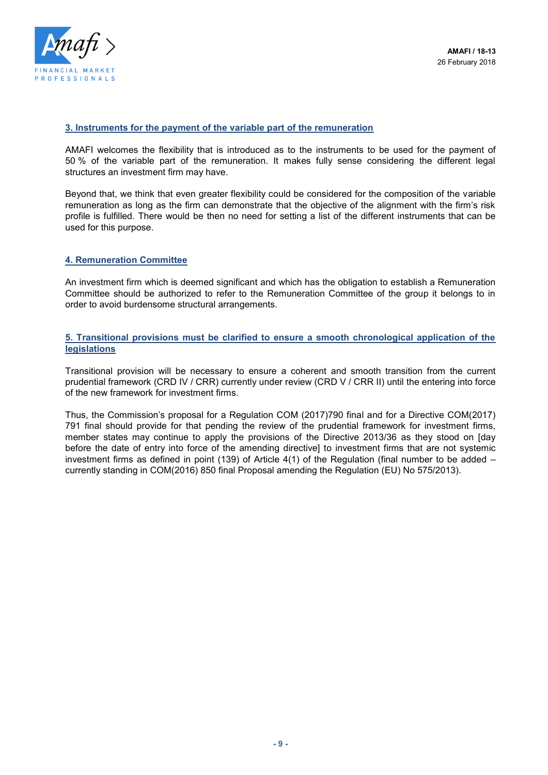

#### **3. Instruments for the payment of the variable part of the remuneration**

AMAFI welcomes the flexibility that is introduced as to the instruments to be used for the payment of 50 % of the variable part of the remuneration. It makes fully sense considering the different legal structures an investment firm may have.

Beyond that, we think that even greater flexibility could be considered for the composition of the variable remuneration as long as the firm can demonstrate that the objective of the alignment with the firm's risk profile is fulfilled. There would be then no need for setting a list of the different instruments that can be used for this purpose.

#### **4. Remuneration Committee**

An investment firm which is deemed significant and which has the obligation to establish a Remuneration Committee should be authorized to refer to the Remuneration Committee of the group it belongs to in order to avoid burdensome structural arrangements.

#### **5. Transitional provisions must be clarified to ensure a smooth chronological application of the legislations**

Transitional provision will be necessary to ensure a coherent and smooth transition from the current prudential framework (CRD IV / CRR) currently under review (CRD V / CRR II) until the entering into force of the new framework for investment firms.

Thus, the Commission's proposal for a Regulation COM (2017)790 final and for a Directive COM(2017) 791 final should provide for that pending the review of the prudential framework for investment firms, member states may continue to apply the provisions of the Directive 2013/36 as they stood on [day before the date of entry into force of the amending directive] to investment firms that are not systemic investment firms as defined in point (139) of Article 4(1) of the Regulation (final number to be added – currently standing in COM(2016) 850 final Proposal amending the Regulation (EU) No 575/2013).